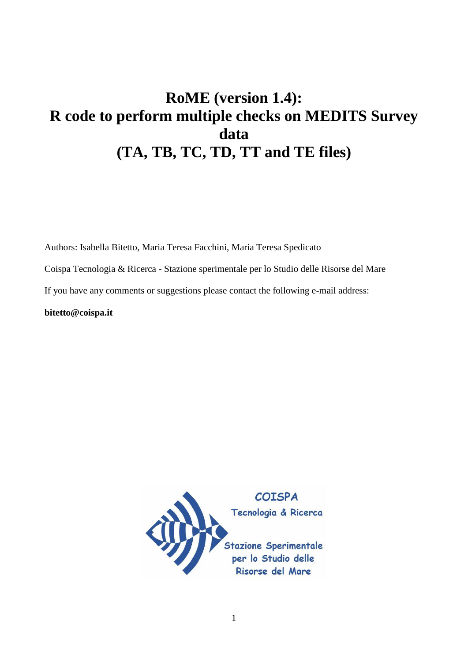# **RoME (version 1.4): R code to perform multiple checks on MEDITS Survey data (TA, TB, TC, TD, TT and TE files)**

Authors: Isabella Bitetto, Maria Teresa Facchini, Maria Teresa Spedicato

Coispa Tecnologia & Ricerca - Stazione sperimentale per lo Studio delle Risorse del Mare

If you have any comments or suggestions please contact the following e-mail address:

**bitetto@coispa.it** 

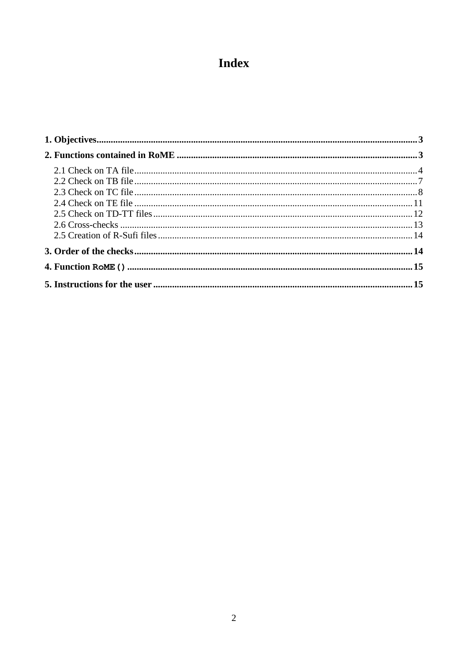# **Index**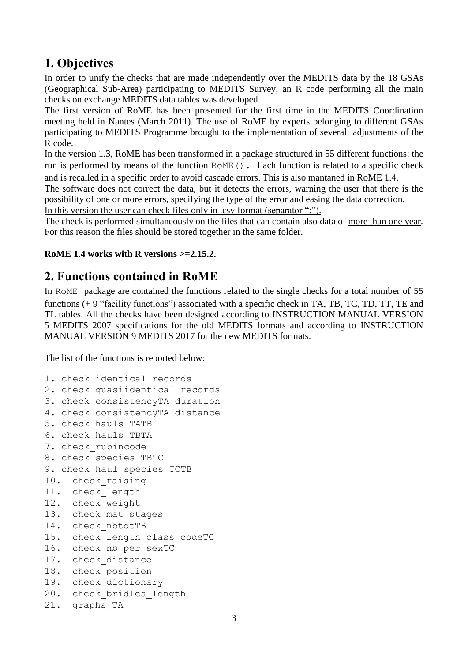## <span id="page-2-0"></span>**1. Objectives**

In order to unify the checks that are made independently over the MEDITS data by the 18 GSAs (Geographical Sub-Area) participating to MEDITS Survey, an R code performing all the main checks on exchange MEDITS data tables was developed.

The first version of RoME has been presented for the first time in the MEDITS Coordination meeting held in Nantes (March 2011). The use of RoME by experts belonging to different GSAs participating to MEDITS Programme brought to the implementation of several adjustments of the R code.

In the version 1.3, RoME has been transformed in a package structured in 55 different functions: the run is performed by means of the function RoME(). Each function is related to a specific check and is recalled in a specific order to avoid cascade errors. This is also mantaned in RoME 1.4.

The software does not correct the data, but it detects the errors, warning the user that there is the possibility of one or more errors, specifying the type of the error and easing the data correction.

In this version the user can check files only in .csv format (separator ";").

The check is performed simultaneously on the files that can contain also data of more than one year. For this reason the files should be stored together in the same folder.

#### **RoME 1.4 works with R versions >=2.15.2.**

## <span id="page-2-1"></span>**2. Functions contained in RoME**

In RoME package are contained the functions related to the single checks for a total number of 55 functions (+ 9 "facility functions") associated with a specific check in TA, TB, TC, TD, TT, TE and TL tables. All the checks have been designed according to INSTRUCTION MANUAL VERSION 5 MEDITS 2007 specifications for the old MEDITS formats and according to INSTRUCTION MANUAL VERSION 9 MEDITS 2017 for the new MEDITS formats.

The list of the functions is reported below:

```
1. check identical records
```
- 2. check quasiidentical records
- 3. check\_consistencyTA\_duration
- 4. check consistencyTA distance
- 5. check\_hauls\_TATB
- 6. check\_hauls\_TBTA
- 7. check rubincode
- 8. check species TBTC
- 9. check haul species TCTB

```
10. check raising
```

```
11. check_length
```
- 12. check weight
- 13. check mat stages
- 14. check nbtotTB
- 15. check\_length\_class\_codeTC
- 16. check nb per sexTC
- 17. check distance
- 18. check position
- 19. check\_dictionary
- 20. check bridles length
- 21. graphs\_TA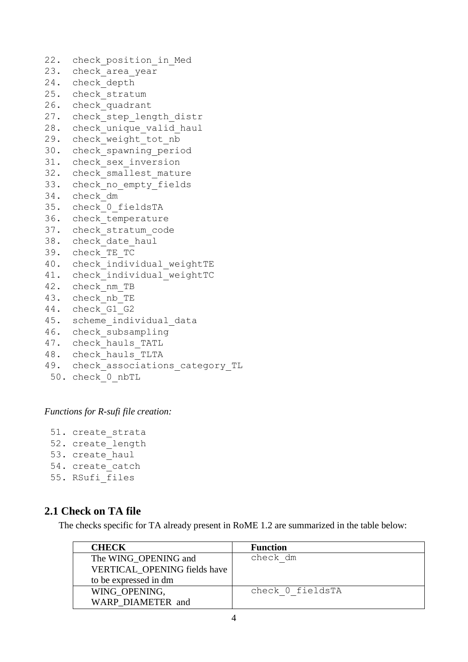```
22. check position in Med
23. check area year
24. check_depth
25. check stratum
26. check_quadrant
27. check step length distr
28. check unique valid haul
29. check weight tot nb
30. check spawning period
31. check sex inversion
32. check smallest mature
33. check no empty fields
34. check_dm
35. check_0_fieldsTA
36. check_temperature
37. check_stratum_code
38. check_date_haul
39. check_TE_TC
40. check individual weightTE
41. check individual weightTC
42. check_nm_TB
43. check_nb_TE
44. check_G1_G2
45. scheme individual data
46. check_subsampling
47. check hauls TATL
48. check hauls TLTA
49. check associations category TL
```

```
50. check_0_nbTL
```
#### *Functions for R-sufi file creation:*

51. create\_strata 52. create length 53. create haul 54. create catch 55. RSufi\_files

#### <span id="page-3-0"></span>**2.1 Check on TA file**

The checks specific for TA already present in RoME 1.2 are summarized in the table below:

| <b>CHECK</b>                 | <b>Function</b>  |
|------------------------------|------------------|
| The WING OPENING and         | check dm         |
| VERTICAL OPENING fields have |                  |
| to be expressed in dm        |                  |
| WING OPENING.                | check 0 fieldsTA |
| WARP DIAMETER and            |                  |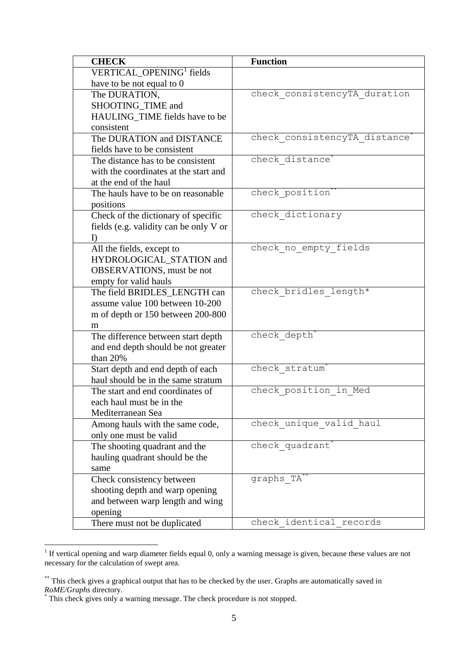| VERTICAL OPENING <sup>1</sup> fields<br>have to be not equal to 0<br>check consistencyTA duration<br>The DURATION, |  |
|--------------------------------------------------------------------------------------------------------------------|--|
|                                                                                                                    |  |
|                                                                                                                    |  |
|                                                                                                                    |  |
| SHOOTING_TIME and                                                                                                  |  |
| HAULING_TIME fields have to be                                                                                     |  |
| consistent                                                                                                         |  |
| check consistencyTA_distance <sup>*</sup><br>The DURATION and DISTANCE                                             |  |
| fields have to be consistent                                                                                       |  |
| check distance<br>The distance has to be consistent                                                                |  |
| with the coordinates at the start and                                                                              |  |
| at the end of the haul                                                                                             |  |
| check position<br>The hauls have to be on reasonable                                                               |  |
| positions                                                                                                          |  |
| check dictionary<br>Check of the dictionary of specific                                                            |  |
| fields (e.g. validity can be only V or                                                                             |  |
| $\Gamma$                                                                                                           |  |
| check no empty fields<br>All the fields, except to                                                                 |  |
| HYDROLOGICAL_STATION and                                                                                           |  |
| OBSERVATIONS, must be not                                                                                          |  |
| empty for valid hauls                                                                                              |  |
| check bridles length*<br>The field BRIDLES LENGTH can                                                              |  |
| assume value 100 between 10-200                                                                                    |  |
| m of depth or 150 between 200-800                                                                                  |  |
| m                                                                                                                  |  |
| check depth<br>The difference between start depth                                                                  |  |
| and end depth should be not greater                                                                                |  |
| than 20%<br>check stratum                                                                                          |  |
| Start depth and end depth of each<br>haul should be in the same stratum                                            |  |
| check position in Med<br>The start and end coordinates of                                                          |  |
| each haul must be in the                                                                                           |  |
| Mediterranean Sea                                                                                                  |  |
| check unique_valid_haul<br>Among hauls with the same code,                                                         |  |
| only one must be valid                                                                                             |  |
| check_quadrant'<br>The shooting quadrant and the                                                                   |  |
| hauling quadrant should be the                                                                                     |  |
| same                                                                                                               |  |
| graphs_TA <sup>*</sup><br>Check consistency between                                                                |  |
| shooting depth and warp opening                                                                                    |  |
| and between warp length and wing                                                                                   |  |
| opening                                                                                                            |  |
| check identical records<br>There must not be duplicated                                                            |  |

Intertively 1 a set opening and warp diameter fields equal 0, only a warning message is given, because these values are not 1 If vertical opening and warp diameter fields equal 0, only a warning message is given, because t necessary for the calculation of swept area.

<sup>\*\*</sup> This check gives a graphical output that has to be checked by the user. Graphs are automatically saved in *RoME/Graphs* directory.

<sup>\*</sup> This check gives only a warning message. The check procedure is not stopped.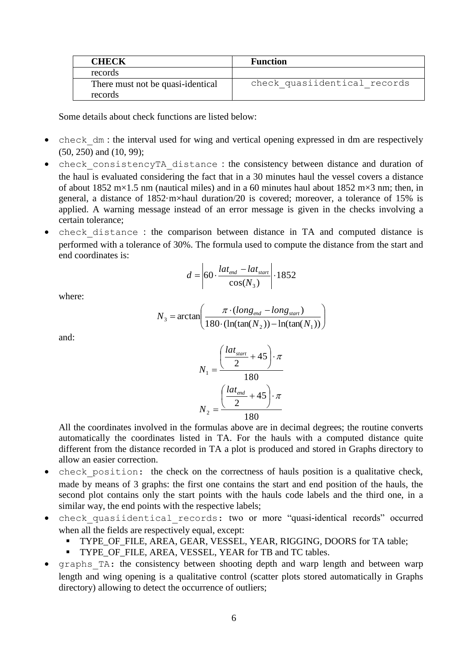| <b>CHECK</b>                                 | <b>Function</b>              |
|----------------------------------------------|------------------------------|
| records                                      |                              |
| There must not be quasi-identical<br>records | check quasiidentical records |

Some details about check functions are listed below:

- check dm : the interval used for wing and vertical opening expressed in dm are respectively (50, 250) and (10, 99);
- check\_consistencyTA\_distance : the consistency between distance and duration of the haul is evaluated considering the fact that in a 30 minutes haul the vessel covers a distance of about 1852 m×1.5 nm (nautical miles) and in a 60 minutes haul about 1852 m×3 nm; then, in general, a distance of 1852·m×haul duration/20 is covered; moreover, a tolerance of 15% is applied. A warning message instead of an error message is given in the checks involving a certain tolerance;
- check distance : the comparison between distance in TA and computed distance is performed with a tolerance of 30%. The formula used to compute the distance from the start and end coordinates is:

$$
d = \left| 60 \cdot \frac{lat_{end} - lat_{start}}{\cos(N_3)} \right| \cdot 1852
$$

where:

$$
N_3 = \arctan\left(\frac{\pi \cdot (long_{\text{end}} - long_{\text{start}})}{180 \cdot (\ln(\tan(N_2)) - \ln(\tan(N_1))}\right)
$$

and:

$$
N_1 = \frac{\left(\frac{lat_{start}}{2} + 45\right) \cdot \pi}{180}
$$

$$
N_2 = \frac{\left(\frac{lat_{end}}{2} + 45\right) \cdot \pi}{180}
$$

All the coordinates involved in the formulas above are in decimal degrees; the routine converts automatically the coordinates listed in TA. For the hauls with a computed distance quite different from the distance recorded in TA a plot is produced and stored in Graphs directory to allow an easier correction.

- check position: the check on the correctness of hauls position is a qualitative check, made by means of 3 graphs: the first one contains the start and end position of the hauls, the second plot contains only the start points with the hauls code labels and the third one, in a similar way, the end points with the respective labels;
- check\_quasiidentical\_records: two or more "quasi-identical records" occurred when all the fields are respectively equal, except:
	- TYPE\_OF\_FILE, AREA, GEAR, VESSEL, YEAR, RIGGING, DOORS for TA table;
	- **TYPE\_OF\_FILE, AREA, VESSEL, YEAR for TB and TC tables.**
- graphs\_TA: the consistency between shooting depth and warp length and between warp length and wing opening is a qualitative control (scatter plots stored automatically in Graphs directory) allowing to detect the occurrence of outliers;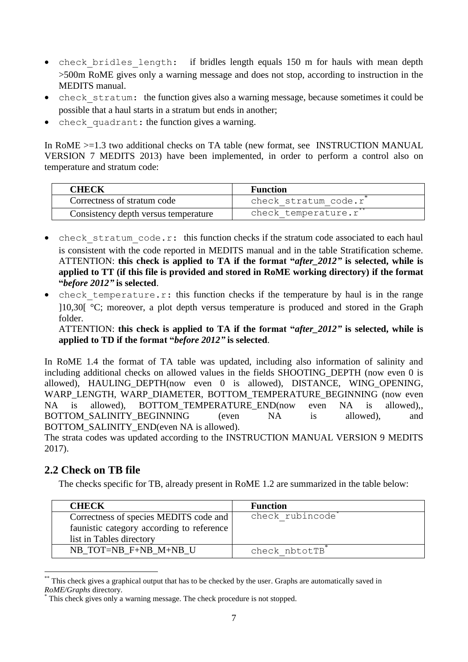- check bridles length: if bridles length equals 150 m for hauls with mean depth >500m RoME gives only a warning message and does not stop, according to instruction in the MEDITS manual.
- check stratum: the function gives also a warning message, because sometimes it could be possible that a haul starts in a stratum but ends in another;
- check quadrant: the function gives a warning.

In RoME >=1.3 two additional checks on TA table (new format, see INSTRUCTION MANUAL VERSION 7 MEDITS 2013) have been implemented, in order to perform a control also on temperature and stratum code:

| CHECK                                | <b>Function</b>      |
|--------------------------------------|----------------------|
| Correctness of stratum code          | check stratum code.r |
| Consistency depth versus temperature | check temperature.r' |

- check stratum code.r: this function checks if the stratum code associated to each haul is consistent with the code reported in MEDITS manual and in the table Stratification scheme. ATTENTION: **this check is applied to TA if the format "***after\_2012"* **is selected, while is applied to TT (if this file is provided and stored in RoME working directory) if the format "***before 2012"* **is selected**.
- check temperature.r: this function checks if the temperature by haul is in the range ]10,30[ °C; moreover, a plot depth versus temperature is produced and stored in the Graph folder.

ATTENTION: **this check is applied to TA if the format "***after\_2012"* **is selected, while is applied to TD if the format "***before 2012"* **is selected**.

In RoME 1.4 the format of TA table was updated, including also information of salinity and including additional checks on allowed values in the fields SHOOTING\_DEPTH (now even 0 is allowed), HAULING DEPTH(now even 0 is allowed), DISTANCE, WING OPENING, WARP\_LENGTH, WARP\_DIAMETER, BOTTOM\_TEMPERATURE\_BEGINNING (now even NA is allowed), BOTTOM\_TEMPERATURE\_END(now even NA is allowed), BOTTOM\_SALINITY\_BEGINNING (even NA is allowed), and BOTTOM\_SALINITY\_END(even NA is allowed).

The strata codes was updated according to the INSTRUCTION MANUAL VERSION 9 MEDITS 2017).

#### <span id="page-6-0"></span>**2.2 Check on TB file**

1

The checks specific for TB, already present in RoME 1.2 are summarized in the table below:

| <b>CHECK</b>                              | <b>Function</b>              |
|-------------------------------------------|------------------------------|
| Correctness of species MEDITS code and    | check rubincode <sup>®</sup> |
| faunistic category according to reference |                              |
| list in Tables directory                  |                              |
| NB TOT=NB F+NB M+NB U                     | check nbtotTB                |

This check gives a graphical output that has to be checked by the user. Graphs are automatically saved in *RoME/Graphs* directory.

This check gives only a warning message. The check procedure is not stopped.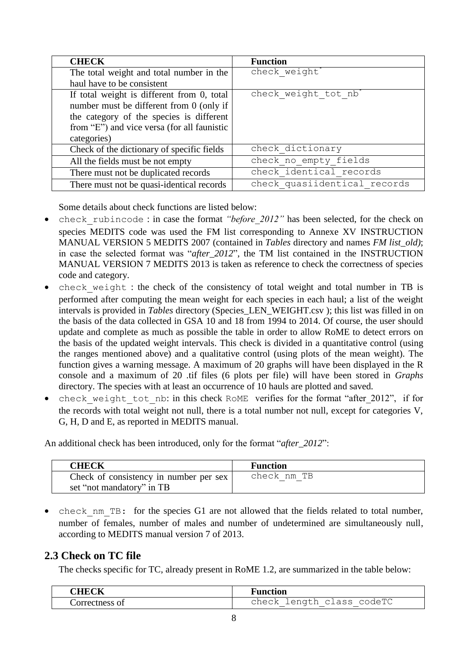| <b>CHECK</b>                                | <b>Function</b>              |
|---------------------------------------------|------------------------------|
| The total weight and total number in the    | check weight'                |
| haul have to be consistent                  |                              |
| If total weight is different from 0, total  | check weight tot nb          |
| number must be different from 0 (only if    |                              |
| the category of the species is different    |                              |
| from "E") and vice versa (for all faunistic |                              |
| categories)                                 |                              |
| Check of the dictionary of specific fields  | check dictionary             |
| All the fields must be not empty            | check no empty fields        |
| There must not be duplicated records        | check identical records      |
| There must not be quasi-identical records   | check quasiidentical records |

Some details about check functions are listed below:

- check rubincode : in case the format *"before 2012"* has been selected, for the check on species MEDITS code was used the FM list corresponding to Annexe XV INSTRUCTION MANUAL VERSION 5 MEDITS 2007 (contained in *Tables* directory and names *FM list\_old)*; in case the selected format was "*after\_2012*", the TM list contained in the INSTRUCTION MANUAL VERSION 7 MEDITS 2013 is taken as reference to check the correctness of species code and category.
- check weight : the check of the consistency of total weight and total number in TB is performed after computing the mean weight for each species in each haul; a list of the weight intervals is provided in *Tables* directory (Species\_LEN\_WEIGHT.csv ); this list was filled in on the basis of the data collected in GSA 10 and 18 from 1994 to 2014. Of course, the user should update and complete as much as possible the table in order to allow RoME to detect errors on the basis of the updated weight intervals. This check is divided in a quantitative control (using the ranges mentioned above) and a qualitative control (using plots of the mean weight). The function gives a warning message. A maximum of 20 graphs will have been displayed in the R console and a maximum of 20 .tif files (6 plots per file) will have been stored in *Graphs* directory. The species with at least an occurrence of 10 hauls are plotted and saved.
- check weight tot nb: in this check RoME verifies for the format "after 2012", if for the records with total weight not null, there is a total number not null, except for categories V, G, H, D and E, as reported in MEDITS manual.

An additional check has been introduced, only for the format "*after\_2012*":

| <b>CHECK</b>                           | <b>Function</b> |
|----------------------------------------|-----------------|
| Check of consistency in number per sex | check nm TB     |
| set "not mandatory" in TB              |                 |

• check nm TB: for the species G1 are not allowed that the fields related to total number, number of females, number of males and number of undetermined are simultaneously null, according to MEDITS manual version 7 of 2013.

#### <span id="page-7-0"></span>**2.3 Check on TC file**

The checks specific for TC, already present in RoME 1.2, are summarized in the table below:

| 10T         | $\overline{\phantom{a}}$<br>Function |
|-------------|--------------------------------------|
| Correctness | length class codeTC<br>check<br>_    |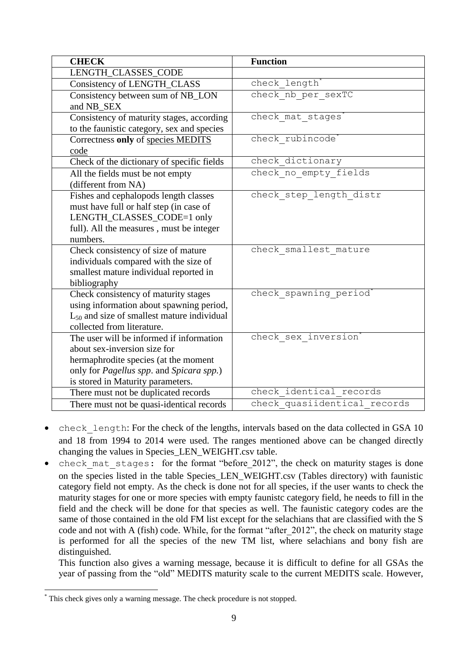| <b>CHECK</b>                                             | <b>Function</b>              |
|----------------------------------------------------------|------------------------------|
| LENGTH_CLASSES_CODE                                      |                              |
| Consistency of LENGTH_CLASS                              | check length                 |
| Consistency between sum of NB_LON                        | check nb per sexTC           |
| and NB SEX                                               |                              |
| Consistency of maturity stages, according                | check mat stages             |
| to the faunistic category, sex and species               |                              |
| Correctness only of species MEDITS                       | check rubincode              |
| code                                                     |                              |
| Check of the dictionary of specific fields               | check dictionary             |
| All the fields must be not empty                         | check no empty fields        |
| (different from NA)                                      |                              |
| Fishes and cephalopods length classes                    | check step length distr      |
| must have full or half step (in case of                  |                              |
| LENGTH_CLASSES_CODE=1 only                               |                              |
| full). All the measures, must be integer                 |                              |
| numbers.                                                 |                              |
| Check consistency of size of mature                      | check smallest mature        |
| individuals compared with the size of                    |                              |
| smallest mature individual reported in                   |                              |
| bibliography                                             |                              |
| Check consistency of maturity stages                     | check spawning period'       |
| using information about spawning period,                 |                              |
| $L_{50}$ and size of smallest mature individual          |                              |
| collected from literature.                               |                              |
| The user will be informed if information                 | check sex inversion          |
| about sex-inversion size for                             |                              |
| hermaphrodite species (at the moment                     |                              |
| only for <i>Pagellus spp</i> . and <i>Spicara spp</i> .) |                              |
| is stored in Maturity parameters.                        |                              |
| There must not be duplicated records                     | check identical records      |
| There must not be quasi-identical records                | check quasiidentical records |

- check length: For the check of the lengths, intervals based on the data collected in GSA 10 and 18 from 1994 to 2014 were used. The ranges mentioned above can be changed directly changing the values in Species\_LEN\_WEIGHT.csv table.
- check mat stages: for the format "before 2012", the check on maturity stages is done on the species listed in the table Species\_LEN\_WEIGHT.csv (Tables directory) with faunistic category field not empty. As the check is done not for all species, if the user wants to check the maturity stages for one or more species with empty faunistc category field, he needs to fill in the field and the check will be done for that species as well. The faunistic category codes are the same of those contained in the old FM list except for the selachians that are classified with the S code and not with A (fish) code. While, for the format "after\_2012", the check on maturity stage is performed for all the species of the new TM list, where selachians and bony fish are distinguished.

This function also gives a warning message, because it is difficult to define for all GSAs the year of passing from the "old" MEDITS maturity scale to the current MEDITS scale. However,

<sup>&</sup>lt;u>.</u> This check gives only a warning message. The check procedure is not stopped.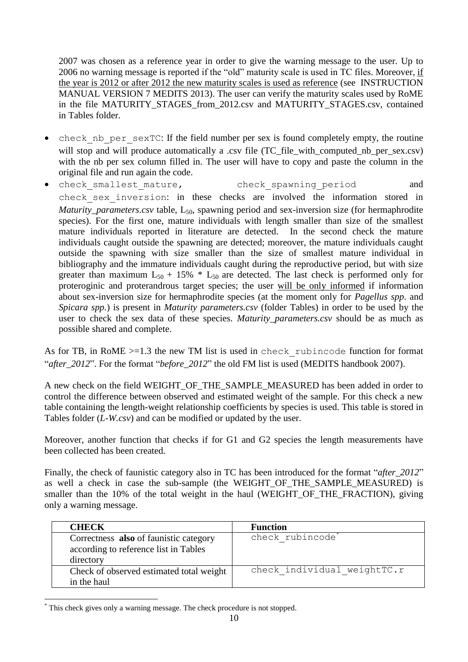2007 was chosen as a reference year in order to give the warning message to the user. Up to 2006 no warning message is reported if the "old" maturity scale is used in TC files. Moreover, if the year is 2012 or after 2012 the new maturity scales is used as reference (see INSTRUCTION MANUAL VERSION 7 MEDITS 2013). The user can verify the maturity scales used by RoME in the file MATURITY\_STAGES\_from\_2012.csv and MATURITY\_STAGES.csv, contained in Tables folder.

- check nb per sexTC: If the field number per sex is found completely empty, the routine will stop and will produce automatically a .csv file (TC\_file\_with\_computed\_nb\_per\_sex.csv) with the nb per sex column filled in. The user will have to copy and paste the column in the original file and run again the code.
- check smallest mature, check spawning period and check\_sex\_inversion: in these checks are involved the information stored in *Maturity\_parameters.csv* table, L<sub>50</sub>, spawning period and sex-inversion size (for hermaphrodite species). For the first one, mature individuals with length smaller than size of the smallest mature individuals reported in literature are detected. In the second check the mature individuals caught outside the spawning are detected; moreover, the mature individuals caught outside the spawning with size smaller than the size of smallest mature individual in bibliography and the immature individuals caught during the reproductive period, but with size greater than maximum  $L_{50}$  + 15%  $*$   $L_{50}$  are detected. The last check is performed only for proteroginic and proterandrous target species; the user will be only informed if information about sex-inversion size for hermaphrodite species (at the moment only for *Pagellus spp*. and *Spicara spp.*) is present in *Maturity parameters.csv* (folder Tables) in order to be used by the user to check the sex data of these species. *Maturity\_parameters.csv* should be as much as possible shared and complete.

As for TB, in RoME >=1.3 the new TM list is used in check rubincode function for format "*after\_2012*". For the format "*before\_2012*" the old FM list is used (MEDITS handbook 2007).

A new check on the field WEIGHT\_OF\_THE\_SAMPLE\_MEASURED has been added in order to control the difference between observed and estimated weight of the sample. For this check a new table containing the length-weight relationship coefficients by species is used. This table is stored in Tables folder (*L-W.csv*) and can be modified or updated by the user.

Moreover, another function that checks if for G1 and G2 species the length measurements have been collected has been created.

Finally, the check of faunistic category also in TC has been introduced for the format "*after\_2012*" as well a check in case the sub-sample (the WEIGHT OF THE SAMPLE MEASURED) is smaller than the 10% of the total weight in the haul (WEIGHT OF THE FRACTION), giving only a warning message.

| <b>CHECK</b>                                                                                 | <b>Function</b>              |
|----------------------------------------------------------------------------------------------|------------------------------|
| Correctness also of faunistic category<br>according to reference list in Tables<br>directory | check rubincode <sup>®</sup> |
| Check of observed estimated total weight<br>in the haul                                      | check individual weightTC.r  |

<sup>1</sup> This check gives only a warning message. The check procedure is not stopped.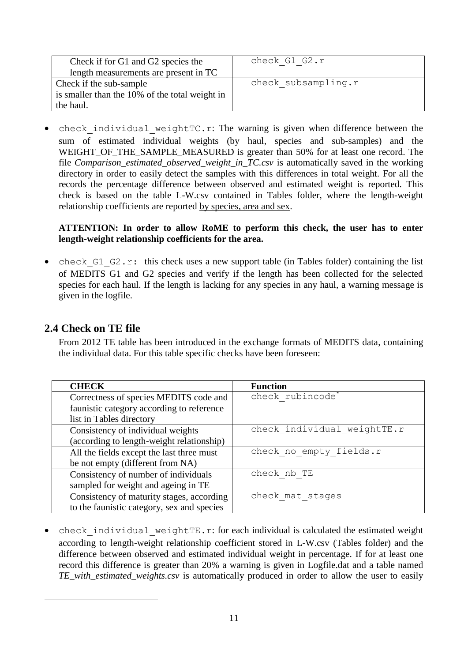| Check if for G1 and G2 species the             | check G1 G2.r       |
|------------------------------------------------|---------------------|
| length measurements are present in TC          |                     |
| Check if the sub-sample                        | check subsampling.r |
| is smaller than the 10% of the total weight in |                     |
| the haul.                                      |                     |

check individual weightTC.r: The warning is given when difference between the sum of estimated individual weights (by haul, species and sub-samples) and the WEIGHT OF THE SAMPLE MEASURED is greater than 50% for at least one record. The file *Comparison* estimated *observed* weight in *TC.csv* is automatically saved in the working directory in order to easily detect the samples with this differences in total weight. For all the records the percentage difference between observed and estimated weight is reported. This check is based on the table L-W.csv contained in Tables folder, where the length-weight relationship coefficients are reported by species, area and sex.

#### **ATTENTION: In order to allow RoME to perform this check, the user has to enter length-weight relationship coefficients for the area.**

check  $G1$   $G2.r:$  this check uses a new support table (in Tables folder) containing the list of MEDITS G1 and G2 species and verify if the length has been collected for the selected species for each haul. If the length is lacking for any species in any haul, a warning message is given in the logfile.

#### <span id="page-10-0"></span>**2.4 Check on TE file**

1

From 2012 TE table has been introduced in the exchange formats of MEDITS data, containing the individual data. For this table specific checks have been foreseen:

| <b>CHECK</b>                               | <b>Function</b>              |
|--------------------------------------------|------------------------------|
| Correctness of species MEDITS code and     | check rubincode <sup>*</sup> |
| faunistic category according to reference  |                              |
| list in Tables directory                   |                              |
| Consistency of individual weights          | check individual weightTE.r  |
| (according to length-weight relationship)  |                              |
| All the fields except the last three must  | check no empty fields.r      |
| be not empty (different from NA)           |                              |
| Consistency of number of individuals       | check nb TE                  |
| sampled for weight and ageing in TE        |                              |
| Consistency of maturity stages, according  | check mat stages             |
| to the faunistic category, sex and species |                              |

• check individual weightTE.r: for each individual is calculated the estimated weight according to length-weight relationship coefficient stored in L-W.csv (Tables folder) and the difference between observed and estimated individual weight in percentage. If for at least one record this difference is greater than 20% a warning is given in Logfile.dat and a table named *TE\_with\_estimated\_weights.csv* is automatically produced in order to allow the user to easily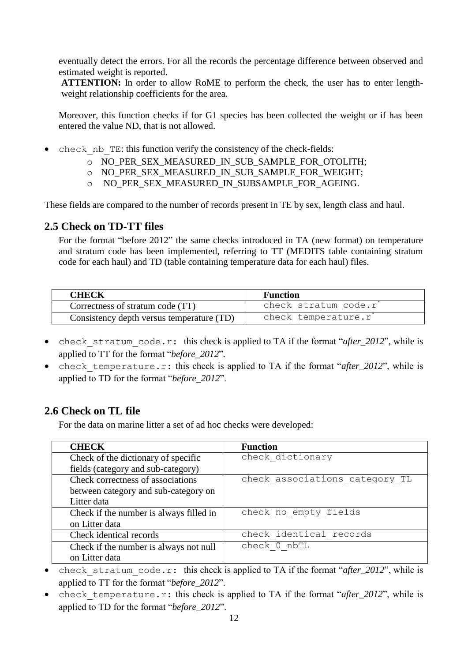eventually detect the errors. For all the records the percentage difference between observed and estimated weight is reported.

**ATTENTION:** In order to allow RoME to perform the check, the user has to enter lengthweight relationship coefficients for the area.

Moreover, this function checks if for G1 species has been collected the weight or if has been entered the value ND, that is not allowed.

- check nb TE: this function verify the consistency of the check-fields:
	- o NO\_PER\_SEX\_MEASURED\_IN\_SUB\_SAMPLE\_FOR\_OTOLITH;
	- o NO\_PER\_SEX\_MEASURED\_IN\_SUB\_SAMPLE\_FOR\_WEIGHT;
	- o NO\_PER\_SEX\_MEASURED\_IN\_SUBSAMPLE\_FOR\_AGEING.

These fields are compared to the number of records present in TE by sex, length class and haul.

#### <span id="page-11-0"></span>**2.5 Check on TD-TT files**

For the format "before 2012" the same checks introduced in TA (new format) on temperature and stratum code has been implemented, referring to TT (MEDITS table containing stratum code for each haul) and TD (table containing temperature data for each haul) files.

| <b>CHECK</b>                              | <b>Function</b>      |
|-------------------------------------------|----------------------|
| Correctness of stratum code (TT)          | check stratum code.r |
| Consistency depth versus temperature (TD) | check temperature.r  |

- check stratum code.r: this check is applied to TA if the format "*after\_2012*", while is applied to TT for the format "*before\_2012*".
- check temperature.r: this check is applied to TA if the format "*after 2012*", while is applied to TD for the format "*before\_2012*".

#### **2.6 Check on TL file**

For the data on marine litter a set of ad hoc checks were developed:

| <b>CHECK</b>                            | <b>Function</b>                |
|-----------------------------------------|--------------------------------|
| Check of the dictionary of specific     | check dictionary               |
| fields (category and sub-category)      |                                |
| Check correctness of associations       | check associations category TL |
| between category and sub-category on    |                                |
| Litter data                             |                                |
| Check if the number is always filled in | check no empty fields          |
| on Litter data                          |                                |
| Check identical records                 | check identical records        |
| Check if the number is always not null  | check 0 nbTL                   |
| on Litter data                          |                                |

- check stratum code.r: this check is applied to TA if the format "*after\_2012*", while is applied to TT for the format "*before\_2012*".
- check temperature.r: this check is applied to TA if the format "*after\_2012*", while is applied to TD for the format "*before\_2012*".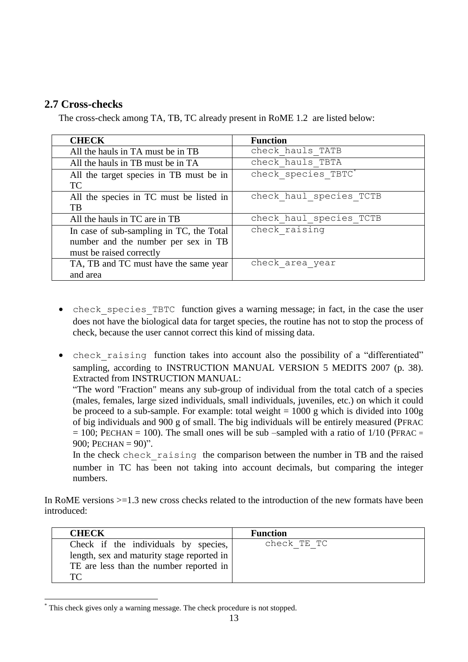#### <span id="page-12-0"></span>**2.7 Cross-checks**

The cross-check among TA, TB, TC already present in RoME 1.2 are listed below:

| <b>CHECK</b>                             | <b>Function</b>         |
|------------------------------------------|-------------------------|
| All the hauls in TA must be in TB        | check hauls TATB        |
| All the hauls in TB must be in TA        | check hauls TBTA        |
| All the target species in TB must be in  | check species TBTC*     |
| <b>TC</b>                                |                         |
| All the species in TC must be listed in  | check haul species TCTB |
| TB                                       |                         |
| All the hauls in TC are in TB            | check haul species TCTB |
| In case of sub-sampling in TC, the Total | check raising           |
| number and the number per sex in TB      |                         |
| must be raised correctly                 |                         |
| TA, TB and TC must have the same year    | check area year         |
| and area                                 |                         |

- check species TBTC function gives a warning message; in fact, in the case the user does not have the biological data for target species, the routine has not to stop the process of check, because the user cannot correct this kind of missing data.
- check raising function takes into account also the possibility of a "differentiated" sampling, according to INSTRUCTION MANUAL VERSION 5 MEDITS 2007 (p. 38). Extracted from INSTRUCTION MANUAL:

"The word "Fraction" means any sub-group of individual from the total catch of a species (males, females, large sized individuals, small individuals, juveniles, etc.) on which it could be proceed to a sub-sample. For example: total weight  $= 1000$  g which is divided into  $100g$ of big individuals and 900 g of small. The big individuals will be entirely measured (PFRAC  $= 100$ ; PECHAN = 100). The small ones will be sub –sampled with a ratio of 1/10 (PFRAC = 900: PECHAN =  $90$ )".

In the check check raising the comparison between the number in TB and the raised number in TC has been not taking into account decimals, but comparing the integer numbers.

In RoME versions  $>=1.3$  new cross checks related to the introduction of the new formats have been introduced:

| <b>CHECK</b>                                                                                                                        | <b>Function</b> |
|-------------------------------------------------------------------------------------------------------------------------------------|-----------------|
| Check if the individuals by species,<br>length, sex and maturity stage reported in<br>TE are less than the number reported in<br>TC | check TE TC     |

This check gives only a warning message. The check procedure is not stopped.

1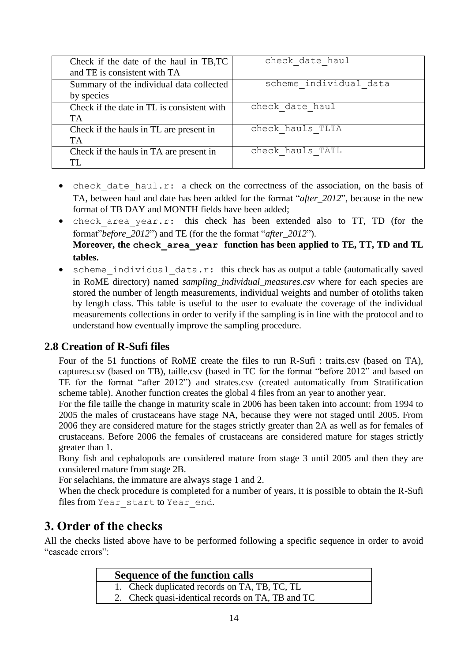| Check if the date of the haul in TB,TC<br>and TE is consistent with TA | check date haul        |
|------------------------------------------------------------------------|------------------------|
| Summary of the individual data collected<br>by species                 | scheme individual data |
| Check if the date in TL is consistent with<br>TA                       | check date haul        |
| Check if the hauls in TL are present in<br><b>TA</b>                   | check hauls TLTA       |
| Check if the hauls in TA are present in<br>TL.                         | check hauls TATL       |

- check date haul.r: a check on the correctness of the association, on the basis of TA, between haul and date has been added for the format "*after\_2012*", because in the new format of TB DAY and MONTH fields have been added;
- check area year.r: this check has been extended also to TT, TD (for the format"*before\_2012*") and TE (for the the format "*after\_2012*"). **Moreover, the check\_area\_year function has been applied to TE, TT, TD and TL tables.**
- scheme individual data.r: this check has as output a table (automatically saved in RoME directory) named *sampling individual measures.csv* where for each species are stored the number of length measurements, individual weights and number of otoliths taken by length class. This table is useful to the user to evaluate the coverage of the individual measurements collections in order to verify if the sampling is in line with the protocol and to understand how eventually improve the sampling procedure.

#### <span id="page-13-0"></span>**2.8 Creation of R-Sufi files**

Four of the 51 functions of RoME create the files to run R-Sufi : traits.csv (based on TA), captures.csv (based on TB), taille.csv (based in TC for the format "before 2012" and based on TE for the format "after 2012") and strates.csv (created automatically from Stratification scheme table). Another function creates the global 4 files from an year to another year.

For the file taille the change in maturity scale in 2006 has been taken into account: from 1994 to 2005 the males of crustaceans have stage NA, because they were not staged until 2005. From 2006 they are considered mature for the stages strictly greater than 2A as well as for females of crustaceans. Before 2006 the females of crustaceans are considered mature for stages strictly greater than 1.

Bony fish and cephalopods are considered mature from stage 3 until 2005 and then they are considered mature from stage 2B.

For selachians, the immature are always stage 1 and 2.

When the check procedure is completed for a number of years, it is possible to obtain the R-Sufi files from Year start to Year end.

### <span id="page-13-1"></span>**3. Order of the checks**

All the checks listed above have to be performed following a specific sequence in order to avoid "cascade errors":

| <b>Sequence of the function calls</b>             |  |
|---------------------------------------------------|--|
| 1. Check duplicated records on TA, TB, TC, TL     |  |
| 2. Check quasi-identical records on TA, TB and TC |  |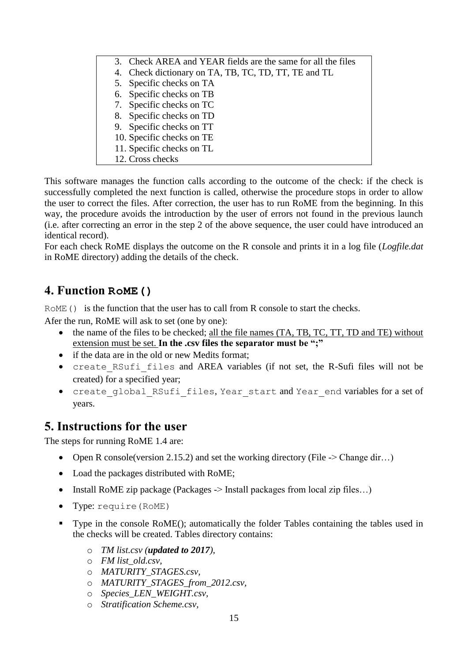| 3. Check AREA and YEAR fields are the same for all the files |
|--------------------------------------------------------------|
| 4. Check dictionary on TA, TB, TC, TD, TT, TE and TL         |
| 5. Specific checks on TA                                     |
| 6. Specific checks on TB                                     |
| 7. Specific checks on TC                                     |
| 8. Specific checks on TD                                     |
| 9. Specific checks on TT                                     |
| 10. Specific checks on TE                                    |
| 11. Specific checks on TL                                    |
| 12. Cross checks                                             |

This software manages the function calls according to the outcome of the check: if the check is successfully completed the next function is called, otherwise the procedure stops in order to allow the user to correct the files. After correction, the user has to run RoME from the beginning. In this way, the procedure avoids the introduction by the user of errors not found in the previous launch (i.e. after correcting an error in the step 2 of the above sequence, the user could have introduced an identical record).

For each check RoME displays the outcome on the R console and prints it in a log file (*Logfile.dat* in RoME directory) adding the details of the check.

### <span id="page-14-0"></span>**4. Function RoME()**

ROME() is the function that the user has to call from R console to start the checks.

Afer the run, RoME will ask to set (one by one):

- the name of the files to be checked; all the file names (TA, TB, TC, TT, TD and TE) without extension must be set. **In the .csv files the separator must be ";"**
- if the data are in the old or new Medits format:
- create RSufi files and AREA variables (if not set, the R-Sufi files will not be created) for a specified year;
- create global RSufi files, Year start and Year end variables for a set of years.

## <span id="page-14-1"></span>**5. Instructions for the user**

The steps for running RoME 1.4 are:

- Open R console(version 2.15.2) and set the working directory (File  $\geq$  Change dir...)
- Load the packages distributed with RoME;
- Install RoME zip package (Packages  $\rightarrow$  Install packages from local zip files...)
- Type: require(RoME)
- Type in the console RoME(); automatically the folder Tables containing the tables used in the checks will be created. Tables directory contains:
	- o *TM list.csv (updated to 2017),*
	- o *FM list\_old.csv,*
	- o *MATURITY\_STAGES.csv,*
	- o *MATURITY\_STAGES\_from\_2012.csv,*
	- o *Species\_LEN\_WEIGHT.csv,*
	- o *Stratification Scheme.csv,*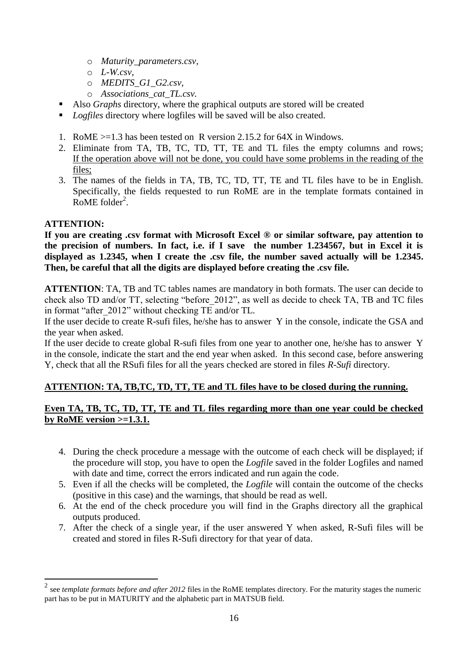- o *Maturity\_parameters.csv,*
- o *L-W.csv,*
- o *MEDITS\_G1\_G2.csv,*
- o *Associations\_cat\_TL.csv.*
- Also *Graphs* directory, where the graphical outputs are stored will be created
- *Logfiles* directory where logfiles will be saved will be also created.
- 1. RoME >=1.3 has been tested on R version 2.15.2 for 64X in Windows.
- 2. Eliminate from TA, TB, TC, TD, TT, TE and TL files the empty columns and rows; If the operation above will not be done, you could have some problems in the reading of the files;
- 3. The names of the fields in TA, TB, TC, TD, TT, TE and TL files have to be in English. Specifically, the fields requested to run RoME are in the template formats contained in RoME folder<sup>2</sup>.

#### **ATTENTION:**

<u>.</u>

**If you are creating .csv format with Microsoft Excel ® or similar software, pay attention to the precision of numbers. In fact, i.e. if I save the number 1.234567, but in Excel it is displayed as 1.2345, when I create the .csv file, the number saved actually will be 1.2345. Then, be careful that all the digits are displayed before creating the .csv file.**

**ATTENTION**: TA, TB and TC tables names are mandatory in both formats. The user can decide to check also TD and/or TT, selecting "before\_2012", as well as decide to check TA, TB and TC files in format "after 2012" without checking TE and/or TL.

If the user decide to create R-sufi files, he/she has to answer Y in the console, indicate the GSA and the year when asked.

If the user decide to create global R-sufi files from one year to another one, he/she has to answer Y in the console, indicate the start and the end year when asked. In this second case, before answering Y, check that all the RSufi files for all the years checked are stored in files *R-Sufi* directory.

#### **ATTENTION: TA, TB,TC, TD, TT, TE and TL files have to be closed during the running.**

#### **Even TA, TB, TC, TD, TT, TE and TL files regarding more than one year could be checked by RoME version >=1.3.1.**

- 4. During the check procedure a message with the outcome of each check will be displayed; if the procedure will stop, you have to open the *Logfile* saved in the folder Logfiles and named with date and time, correct the errors indicated and run again the code.
- 5. Even if all the checks will be completed, the *Logfile* will contain the outcome of the checks (positive in this case) and the warnings, that should be read as well.
- 6. At the end of the check procedure you will find in the Graphs directory all the graphical outputs produced.
- 7. After the check of a single year, if the user answered Y when asked, R-Sufi files will be created and stored in files R-Sufi directory for that year of data.

<sup>2</sup> see *template formats before and after 2012* files in the RoME templates directory. For the maturity stages the numeric part has to be put in MATURITY and the alphabetic part in MATSUB field.